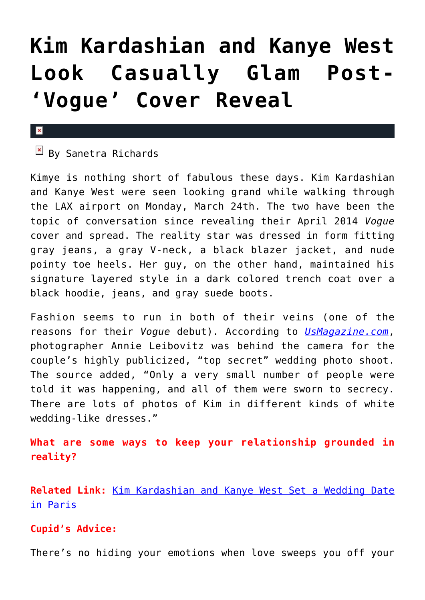## **[Kim Kardashian and Kanye West](https://cupidspulse.com/72544/kim-kardashian-kanye-west-post-vogue-cover-reveal/) [Look Casually Glam Post-](https://cupidspulse.com/72544/kim-kardashian-kanye-west-post-vogue-cover-reveal/) ['Vogue' Cover Reveal](https://cupidspulse.com/72544/kim-kardashian-kanye-west-post-vogue-cover-reveal/)**

## $\mathbf{x}$

## $\overline{B}$  By Sanetra Richards

Kimye is nothing short of fabulous these days. Kim Kardashian and Kanye West were seen looking grand while walking through the LAX airport on Monday, March 24th. The two have been the topic of conversation since revealing their April 2014 *Vogue* cover and spread. The reality star was dressed in form fitting gray jeans, a gray V-neck, a black blazer jacket, and nude pointy toe heels. Her guy, on the other hand, maintained his signature layered style in a dark colored trench coat over a black hoodie, jeans, and gray suede boots.

Fashion seems to run in both of their veins (one of the reasons for their *Vogue* debut). According to *[UsMagazine.com](http://www.usmagazine.com/celebrity-style/news/kim-kardashian-kanye-west-look-casually-glam-after-vogue-cover-reveal-2014253)*, photographer Annie Leibovitz was behind the camera for the couple's highly publicized, "top secret" wedding photo shoot. The source added, "Only a very small number of people were told it was happening, and all of them were sworn to secrecy. There are lots of photos of Kim in different kinds of white wedding-like dresses."

**What are some ways to keep your relationship grounded in reality?**

**Related Link:** [Kim Kardashian and Kanye West Set a Wedding Date](http://cupidspulse.com/kim-kardashian-kanye-west-set-wedding-date/) [in Paris](http://cupidspulse.com/kim-kardashian-kanye-west-set-wedding-date/)

## **Cupid's Advice:**

There's no hiding your emotions when love sweeps you off your